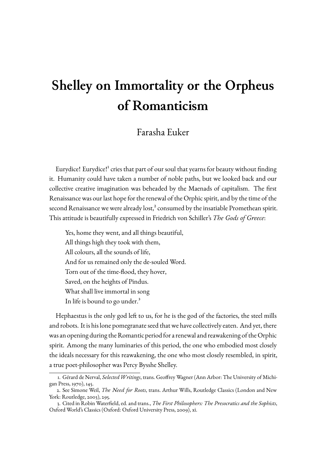## **Shelley on Immortality or the Orpheus of Romanticism**

## Farasha Euker

Eurydice! Eurydice!<sup>1</sup> cries that part of our soul that yearns for beauty without finding it. Humanity could have taken a number of noble paths, but we looked back and our collective creative imagination was beheaded by the Maenads of capitalism. The first Renaissance was our l[as](#page-0-0)t hope for the renewal of the Orphic spirit, and by the time of the second Renaissance we were already lost, $^2$  consumed by the insatiable Promethean spirit. This attitude is beautifully expressed in Friedrich von Schiller's *The Gods of Greece*:

Yes, home they went, and all thing[s](#page-0-1) beautiful, All things high they took with them, All colours, all the sounds of life, And for us remained only the de-souled Word. Torn out of the time-flood, they hover, Saved, on the heights of Pindus. What shall live immortal in song In life is bound to go under.<sup>3</sup>

Hephaestus is the only god left to us, for he is the god of the factories, the steel mills and robots. It is his lone pomegra[na](#page-0-2)te seed that we have collectively eaten. And yet, there was an opening during the Romantic period for a renewal and reawakening of the Orphic spirit. Among the many luminaries of this period, the one who embodied most closely the ideals necessary for this reawakening, the one who most closely resembled, in spirit, a true poet-philosopher was Percy Bysshe Shelley.

<sup>1.</sup> Gérard de Nerval, *Selected Writings*, trans. Geoffrey Wagner (Ann Arbor: The University of Michigan Press, 1970), 145.

<sup>2.</sup> See Simone Weil, *The Need for Roots*, trans. Arthur Wills, Routledge Classics (London and New York: Routledge, 2003), 295.

<span id="page-0-3"></span><span id="page-0-2"></span><span id="page-0-1"></span><span id="page-0-0"></span><sup>3.</sup> Cited in Robin Waterfield, ed. and trans., *The First Philosophers: The Presocratics and the Sophists*, Oxford World's Classics (Oxford: Oxford University Press, 2009), xi.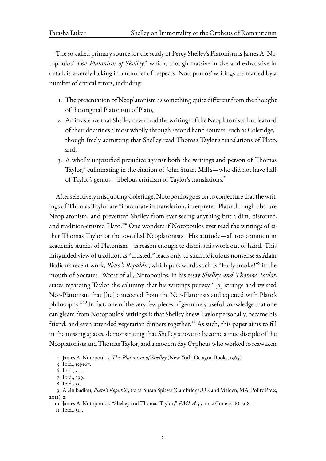The so-called primary source for the study of Percy Shelley's Platonism is James A. Notopoulos' *The Platonism of Shelley*,<sup>4</sup> which, though massive in size and exhaustive in detail, is severely lacking in a number of respects. Notopoulos' writings are marred by a number of critical errors, including:

- 1. The presentation of Neoplatonism as something quite different from the thought of the original Platonism of Plato,
- 2. An insistence that Shelley never read the writings of the Neoplatonists, but learned of their doctrines almost wholly through second hand sources, such as Coleridge,<sup>5</sup> though freely admitting that Shelley read Thomas Taylor's translations of Plato, and,
- 3. A wholly unjustified prejudice against both the writings and person of Thoma[s](#page-1-0) Taylor,<sup>6</sup> culminating in the citation of John Stuart Mill's—who did not have half of Taylor's genius—libelous criticism of Taylor's translations.7

After selec[tiv](#page-1-1)ely misquoting Coleridge, Notopoulos goes on to conjecture that thewritings of Thomas Taylor are "inaccurate in translation, interpreted P[la](#page-1-2)to through obscure Neoplatonism, and prevented Shelley from ever seeing anything but a dim, distorted, and tradition-crusted Plato."8 One wonders if Notopoulos ever read the writings of either Thomas Taylor or the so-called Neoplatonists. His attitude—all too common in academic studies of Platonism—is reason enough to dismiss his work out of hand. This misguided view of tradition [as](#page-1-3) "crusted," leads only to such ridiculous nonsense as Alain Badiou's recent work, *Plato's Republic*, which puts words such as "Holy smoke!"9 in the mouth of Socrates. Worst of all, Notopoulos, in his essay *Shelley and Thomas Taylor*, states regarding Taylor the calumny that his writings purvey "[a] strange and twisted Neo-Platonism that [he] concocted from the Neo-Platonists and equated with [P](#page-1-4)lato's philosophy."10 In fact, one of the very few pieces of genuinely useful knowledge that one can gleam from Notopoulos' writings is that Shelley knew Taylor personally, became his friend, and even attended vegetarian dinners together.<sup>11</sup> As such, this paper aims to fill in the missin[g](#page-1-5) spaces, demonstrating that Shelley strove to become a true disciple of the Neoplatonists and Thomas Taylor, and a modern day Orpheus who worked to reawaken

<sup>4.</sup> James A. Notopoulos, *The Platonism of Shelley* (New Yor[k: O](#page-1-6)ctagon Books, 1969).

<sup>5.</sup> Ibid., 155-167.

<sup>6.</sup> Ibid., 30.

<sup>7.</sup> Ibid., 399.

<span id="page-1-7"></span><span id="page-1-0"></span><sup>8.</sup> Ibid., 33.

<sup>9.</sup> [Alain](#page-1-7) Badiou, *Plato's Republic*, trans. Susan Spitzer (Cambridge, UK and Malden, MA: Polity Press, 2012), [2.](#page-1-7)

<span id="page-1-2"></span><span id="page-1-1"></span><sup>10.</sup> [Jame](#page-1-7)s A. Notopoulos, "Shelley and Thomas Taylor," *PMLA* 51, no. 2 (June 1936): 508.

<span id="page-1-6"></span><span id="page-1-5"></span><span id="page-1-4"></span><span id="page-1-3"></span><sup>11.</sup> [Ibid.](#page-1-7), 514.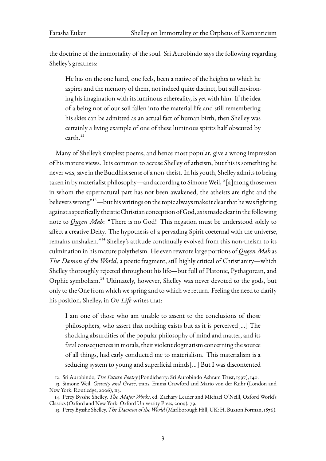the doctrine of the immortality of the soul. Sri Aurobindo says the following regarding Shelley's greatness:

He has on the one hand, one feels, been a native of the heights to which he aspires and the memory of them, not indeed quite distinct, but still environing his imagination with its luminous ethereality, is yet with him. If the idea of a being not of our soil fallen into the material life and still remembering his skies can be admitted as an actual fact of human birth, then Shelley was certainly a living example of one of these luminous spirits half obscured by earth.<sup>12</sup>

Many of Shelley's simplest poems, and hence most popular, give a wrong impression of his matu[re](#page-2-0) views. It is common to accuse Shelley of atheism, but this is something he never was, save in the Buddhist sense of a non-theist. In his youth, Shelley admits to being taken in by materialist philosophy—and according to Simone Weil, "[a]mong those men in whom the supernatural part has not been awakened, the atheists are right and the believers wrong"<sup>13</sup>—but his writings on the topic always make it clear that he was fighting against a specifically theistic Christian conception of God, as is made clear in the following note to *Queen Mab*: "There is no God! This negation must be understood solely to affect a creative [De](#page-2-1)ity. The hypothesis of a pervading Spirit coeternal with the universe, remains unshaken."<sup>14</sup> Shelley's attitude continually evolved from this non-theism to its culmination in his mature polytheism. He even rewrote large portions of *Queen Mab* as *The Dæmon of the World,* a poetic fragment, still highly critical of Christianity—which Shelley thoroughly [rej](#page-2-2)ected throughout his life—but full of Platonic, Pythagorean, and Orphic symbolism.<sup>15</sup> Ultimately, however, Shelley was never devoted to the gods, but only to the One from which we spring and to which we return. Feeling the need to clarify his position, Shelley, in *On Life* writes that:

I am one of those who am unable to assent to the conclusions of those philosophers, who assert that nothing exists but as it is perceived[…] The shocking absurdities of the popular philosophy of mind and matter, and its fatal consequences in morals, their violent dogmatism concerning the source of all things, had early conducted me to materialism. This materialism is a seducing system to young and superficial minds[…] But I was discontented

<sup>12.</sup> Sri Aurobindo, *The Future Poetry* (Pondicherry: Sri Aurobindo Ashram Trust, 1997), 140.

<sup>13.</sup> Simone Weil, *Gravity and Grace*, trans. Emma Crawford and Mario von der Ruhr (London and New York: Routledge, 2006), 115.

<sup>14.</sup> Percy Bysshe Shelley, *The Major Works*, ed. Zachary Leader and Michael O'Neill, Oxford World's Classics (Oxford and New York: Oxford University Press, 2009), 79.

<span id="page-2-2"></span><span id="page-2-1"></span><span id="page-2-0"></span><sup>15.</sup> Percy Bysshe Shelley,*The Daemon of the World* (Marlborough Hill, UK: H. Buxton Forman, 1876).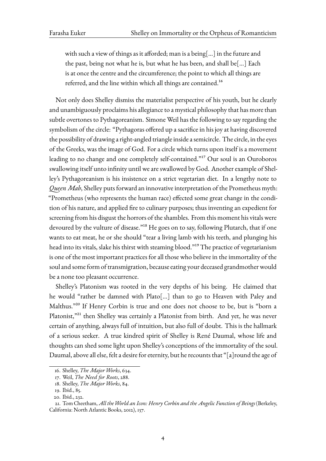with such a view of things as it afforded; man is a being[…] in the future and the past, being not what he is, but what he has been, and shall be[…] Each is at once the centre and the circumference; the point to which all things are referred, and the line within which all things are contained.<sup>16</sup>

Not only does Shelley dismiss the materialist perspective of his youth, but he clearly and unambiguously proclaims his allegiance to a mystical philoso[ph](#page-3-0)y that has more than subtle overtones to Pythagoreanism. Simone Weil has the following to say regarding the symbolism of the circle: "Pythagoras offered up a sacrifice in his joy at having discovered the possibility of drawing a right-angled triangle inside a semicircle. The circle, in the eyes of the Greeks, was the image of God. For a circle which turns upon itself is a movement leading to no change and one completely self-contained."17 Our soul is an Ouroboros swallowing itself unto infinity until we are swallowed by God. Another example of Shelley's Pythagoreanism is his insistence on a strict vegetarian diet. In a lengthy note to *Queen Mab*, Shelley puts forward an innovative interpreta[tio](#page-3-1)n of the Prometheus myth: "Prometheus (who represents the human race) effected some great change in the condition of his nature, and applied fire to culinary purposes; thus inventing an expedient for screening from his disgust the horrors of the shambles. From this moment his vitals were devoured by the vulture of disease."<sup>18</sup> He goes on to say, following Plutarch, that if one wants to eat meat, he or she should "tear a living lamb with his teeth, and plunging his head into its vitals, slake his thirst with steaming blood."<sup>19</sup> The practice of vegetarianism is one of the most important practic[es](#page-3-2) for all those who believe in the immortality of the soul and some form of transmigration, because eating your deceased grandmother would be a none too pleasant occurrence.

Shelley's Platonism was rooted in the very depths of his being. He claimed that he would "rather be damned with Plato[…] than to go to Heaven with Paley and Malthus."<sup>20</sup> If Henry Corbin is true and one does not choose to be, but is "born a Platonist,"<sup>21</sup> then Shelley was certainly a Platonist from birth. And yet, he was never certain of anything, always full of intuition, but also full of doubt. This is the hallmark of a serio[us](#page-3-3) seeker. A true kindred spirit of Shelley is René Daumal, whose life and thoughtsc[an](#page-3-4) shed some light upon Shelley's conceptions of the immortality of the soul. Daumal, above all else, felt a desire for eternity, but he recounts that "[a]round the age of

<sup>16.</sup> Shelley, *The Major Works*, 634.

<sup>17.</sup> Weil, *The Need for Roots*, 288.

<sup>18.</sup> Shelley, *The Major Works*, 84.

<sup>19.</sup> Ibid., 85.

<span id="page-3-1"></span><span id="page-3-0"></span><sup>20.</sup> Ibid., 2[32.](#page-2-2)

<span id="page-3-4"></span><span id="page-3-3"></span><span id="page-3-2"></span><sup>21.</sup> Tom [Cheetham,](#page-0-3)*All the World an Icon: Henry Corbin and the Angelic Function of Beings* (Berkeley, California: N[orth Atlantic Books](#page-2-2), 2012), 137.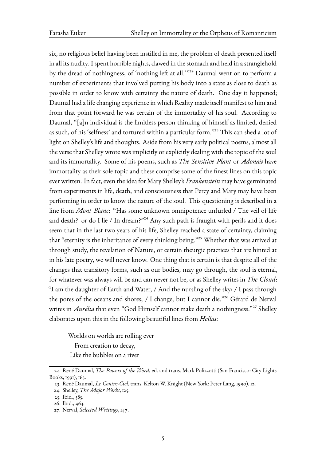six, no religious belief having been instilled in me, the problem of death presented itself in all its nudity. I spent horrible nights, clawed in the stomach and held in a stranglehold by the dread of nothingness, of 'nothing left at all.'"<sup>22</sup> Daumal went on to perform a number of experiments that involved putting his body into a state as close to death as possible in order to know with certainty the nature of death. One day it happened; Daumal had a life changing experience in which Reali[ty](#page-4-0) made itself manifest to him and from that point forward he was certain of the immortality of his soul. According to Daumal, "[a]n individual is the limitless person thinking of himself as limited, denied as such, of his 'selfness' and tortured within a particular form."<sup>23</sup> This can shed a lot of light on Shelley's life and thoughts. Aside from his very early political poems, almost all the verse that Shelley wrote was implicitly or explicitly dealing with the topic of the soul and its immortality. Some of his poems, such as *The Sensitive [P](#page-4-1)lant* or *Adonais* have immortality as their sole topic and these comprise some of the finest lines on this topic ever written. In fact, even the idea for Mary Shelley's *Frankenstein* may have germinated from experiments in life, death, and consciousness that Percy and Mary may have been performing in order to know the nature of the soul. This questioning is described in a line from *Mont Blanc*: "Has some unknown omnipotence unfurled / The veil of life and death? or do I lie / In dream?"<sup>24</sup> Any such path is fraught with perils and it does seem that in the last two years of his life, Shelley reached a state of certainty, claiming that "eternity is the inheritance of every thinking being."<sup>25</sup> Whether that was arrived at through study, the revelation of Na[tu](#page-4-2)re, or certain theurgic practices that are hinted at in his late poetry, we will never know. One thing that is certain is that despite all of the changes that transitory forms, such as our bodies, may [go](#page-4-3) through, the soul is eternal, for whatever was always will be and can never not be, or as Shelley writes in *The Cloud*: "I am the daughter of Earth and Water, / And the nursling of the sky; / I pass through the pores of the oceans and shores; / I change, but I cannot die."26 Gérard de Nerval writes in *Aurélia* that even "God Himself cannot make death a nothingness."<sup>27</sup> Shelley elaborates upon this in the following beautiful lines from *Hellas*:

Worlds on worlds are rolling ever From creation to decay, Like the bubbles on a river

<sup>22.</sup> René Daumal, *The Powers of the Word*, ed. and trans. Mark Polizzotti (San Francisco: City Lights Books, 1991), 163.

<sup>23.</sup> René Daumal, *Le Contre-Ciel*, trans. Kelton W. Knight (New York: Peter Lang, 1990), 12.

<sup>24.</sup> Shelley, *The Major Works*, 125.

<span id="page-4-0"></span><sup>25.</sup> Ibid., 585.

<sup>26.</sup> Ibid., 463.

<span id="page-4-3"></span><span id="page-4-2"></span><span id="page-4-1"></span><sup>27.</sup> Nerval, *Selected Writings*, 147.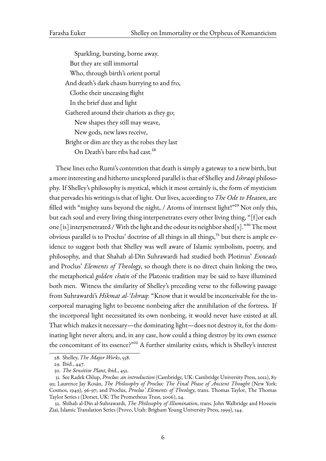Sparkling, bursting, borne away. But they are still immortal Who, through birth's orient portal And death's dark chasm hurrying to and fro, Clothe their unceasing flight In the brief dust and light Gathered around their chariots as they go; New shapes they still may weave, New gods, new laws receive, Bright or dim are they as the robes they last On Death's bare ribs had cast.<sup>28</sup>

These lines echo Rumi's contention that death is simply a gateway to a new birth, but a more interesting and hitherto unexpl[ore](#page-5-0)d parallel is that of Shelley and *Ishraqi* philosophy. If Shelley's philosophy is mystical, which it most certainly is, the form of mysticism that pervades his writings is that of light. Our lives, according to *The Ode to Heaven*, are filled with "mighty suns beyond the night, / Atoms of intensest light!"<sup>29</sup> Not only this, but each soul and every living thing interpenetrates every other living thing, "[f]or each one [is] interpenetrated / With the light and the odour its neighbor shed[s]."<sup>30</sup> The most obviousparallel is to Proclus' doctrine of all things in all things, $31$  but t[he](#page-5-1)re is ample evidence to suggest both that Shelley was well aware of Islamic symbolism, poetry, and philosophy, and that Shahab al-Din Suhrawardi had studied both Plotin[us'](#page-5-2) *Enneads* and Proclus' *Elements of Theology*, so though there is no direc[t c](#page-5-3)hain linking the two, the metaphorical *golden chain* of the Platonic tradition may be said to have illumined both men. Witness the similarity of Shelley's preceding verse to the following passage from Suhrawardi's *Hikmat al-'Ishraq*: "Know that it would be inconceivable for the incorporeal managing light to become nonbeing after the annihilation of the fortress. If the incorporeal light necessitated its own nonbeing, it would never have existed at all. That which makes it necessary—the dominating light—does not destroy it, for the dominating light never alters; and, in any case, how could a thing destroy by its own essence the concomitant of its essence?"<sup>32</sup> A further similarity exists, which is Shelley's interest

<span id="page-5-4"></span><span id="page-5-3"></span><span id="page-5-2"></span>32. Shihab al-Din al-Suhrawardi, *The Philosophy of Illumination*, trans. John Walbridge and Hossein Ziai, Islamic Translation Series (Provo, Utah: Brigham Young University Press, 1999), 144.

<sup>28.</sup> Shelley, *The Major Works*, 558.

<sup>29.</sup> Ibid., 447.

<sup>30.</sup> *The Sensitive Plant*, ibid., 452.

<span id="page-5-1"></span><span id="page-5-0"></span><sup>31.</sup> See Radek Chlup, *Proclus: an int[ro](#page-5-4)duction* (Cambridge, UK: Cambridge University Press, 2012), 83- 92; Laurence [Jay Rosán,](#page-2-2) *The Philosophy of Proclus: The Final Phase of Ancient Thought* (New York: Cosm[os, 19](#page-2-2)49), 96-97; and Proclus, *Proclus' Elements of Theology*, trans. Thomas Taylor, The Thomas Taylor Series 1 (Dorset, U[K: The](#page-2-2) Prometheus Trust, 2006), 24.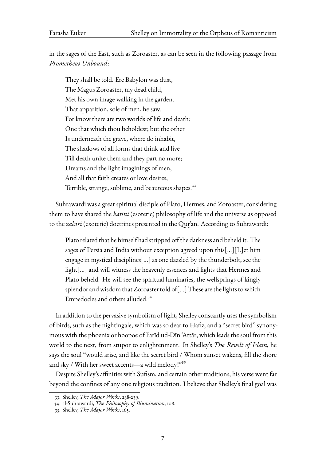in the sages of the East, such as Zoroaster, as can be seen in the following passage from *Prometheus Unbound*:

They shall be told. Ere Babylon was dust, The Magus Zoroaster, my dead child, Met his own image walking in the garden. That apparition, sole of men, he saw. For know there are two worlds of life and death: One that which thou beholdest; but the other Is underneath the grave, where do inhabit, The shadows of all forms that think and live Till death unite them and they part no more; Dreams and the light imaginings of men, And all that faith creates or love desires, Terrible, strange, sublime, and beauteous shapes.<sup>33</sup>

Suhrawardi was a great spiritual disciple of Plato, Hermes, and Zoroaster, considering them to have shared the *batini* (esoteric) philosophy o[f li](#page-6-0)fe and the universe as opposed to the *zahiri* (exoteric) doctrines presented in the Qur'an. According to Suhrawardi:

Plato related that he himself had stripped off the darkness and beheld it. The sages of Persia and India without exception agreed upon this[…][L]et him engage in mystical disciplines[…] as one dazzled by the thunderbolt, see the light[…] and will witness the heavenly essences and lights that Hermes and Plato beheld. He will see the spiritual luminaries, the wellsprings of kingly splendor and wisdom that Zoroaster told of[…] These are the lights to which Empedocles and others alluded.<sup>34</sup>

In addition to the pervasive symbolism of light, Shelley constantly uses the symbolism of birds, such as the nightingale, whic[h](#page-6-1) was so dear to Hafiz, and a "secret bird" synonymous with the phoenix or hoopoe of Farīd ud-Dīn 'Attār, which leads the soul from this world to the next, from stupor to enlightenment. In Shelley's *The Revolt of Islam*, he says the soul "would arise, and like the secret bird / Whom sunset wakens, fill the shore and sky / With her sweet accents—a wild melody!"<sup>35</sup>

Despite Shelley's affinities with Sufism, and certain other traditions, his verse went far beyond the confines of any one religious tradition. I believe that Shelley's final goal was

<sup>33.</sup> Shelley, *The Major Works*, 238-239.

<sup>34.</sup> al-Suhrawardi, *The Philosophy of Illumination*, 108.

<span id="page-6-1"></span><span id="page-6-0"></span><sup>35.</sup> Shelley, *The Major Works*, 165.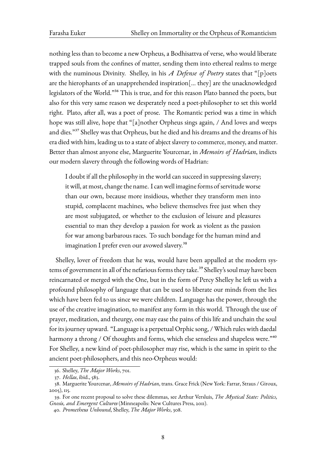nothing less than to become a new Orpheus, a Bodhisattva of verse, who would liberate trapped souls from the confines of matter, sending them into ethereal realms to merge with the numinous Divinity. Shelley, in his *A Defense of Poetry* states that "[p]oets are the hierophants of an unapprehended inspiration[… they] are the unacknowledged legislators of the World."36 This is true, and for this reason Plato banned the poets, but also for this very same reason we desperately need a poet-philosopher to set this world right. Plato, after all, was a poet of prose. The Romantic period was a time in which hope was still alive, hop[e t](#page-7-0)hat "[a]nother Orpheus sings again, / And loves and weeps and dies."37 Shelley was that Orpheus, but he died and his dreams and the dreams of his era died with him, leading us to a state of abject slavery to commerce, money, and matter. Better than almost anyone else, Marguerite Yourcenar, in *Memoirs of Hadrian*, indicts our mode[rn](#page-7-1) slavery through the following words of Hadrian:

I doubt if all the philosophy in the world can succeed in suppressing slavery; it will, at most, change the name. I can well imagine forms of servitude worse than our own, because more insidious, whether they transform men into stupid, complacent machines, who believe themselves free just when they are most subjugated, or whether to the exclusion of leisure and pleasures essential to man they develop a passion for work as violent as the passion for war among barbarous races. To such bondage for the human mind and imagination I prefer even our avowed slavery.<sup>38</sup>

Shelley, lover of freedom that he was, would have been appalled at the modern systems of government in all of the nefarious forms the[y t](#page-7-2)ake.<sup>39</sup> Shelley's soul may have been reincarnated or merged with the One, but in the form of Percy Shelley he left us with a profound philosophy of language that can be used to liberate our minds from the lies which have been fed to us since we were children. Langu[age](#page-7-3) has the power, through the use of the creative imagination, to manifest any form in this world. Through the use of prayer, meditation, and theurgy, one may ease the pains of this life and unchain the soul for its journey upward. "Language is a perpetual Orphic song, / Which rules with daedal harmony a throng / Of thoughts and forms, which else senseless and shapeless were."<sup>40</sup> For Shelley, a new kind of poet-philosopher may rise, which is the same in spirit to the ancient poet-philosophers, and this neo-Orpheus would:

<sup>36.</sup> Shelley, *The Major Works*, 701.

<sup>37.</sup> *Hellas*, ibid., 583.

<sup>38.</sup> Marguerite Yourcenar, *Memoirs of Hadrian*, trans. Grace Frick (New York: Farrar, Straus / Giroux, 2005), 115.

<span id="page-7-0"></span><sup>39.</sup> For one [recent proposal to](#page-2-2) solve these dilemmas, see Arthur Versluis, *The Mystical State: Politics, Gnosis, and [Emerg](#page-2-2)ent Cultures* (Minneapolis: New Cultures Press, 2011).

<span id="page-7-3"></span><span id="page-7-2"></span><span id="page-7-1"></span><sup>40.</sup> *Prometheus Unbound*, Shelley, *The Major Works*, 308.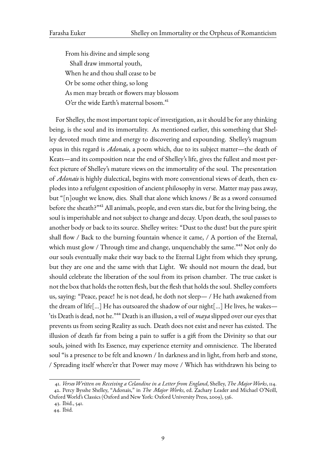From his divine and simple song Shall draw immortal youth, When he and thou shall cease to be Or be some other thing, so long As men may breath or flowers may blossom O'er the wide Earth's maternal bosom.<sup>41</sup>

For Shelley, the most important topic of investigation, as it should be for any thinking being, is the soul and its immortality. As [me](#page-8-0)ntioned earlier, this something that Shelley devoted much time and energy to discovering and expounding. Shelley's magnum opus in this regard is *Adonais*, a poem which, due to its subject matter—the death of Keats—and its composition near the end of Shelley's life, gives the fullest and most perfect picture of Shelley's mature views on the immortality of the soul. The presentation of *Adonais* is highly dialectical, begins with more conventional views of death, then explodes into a refulgent exposition of ancient philosophy in verse. Matter may pass away, but "[n]ought we know, dies. Shall that alone which knows / Be as a sword consumed before the sheath?"<sup>42</sup> All animals, people, and even stars die, but for the living being, the soul is imperishable and not subject to change and decay. Upon death, the soul passes to another body or back to its source. Shelley writes: "Dust to the dust! but the pure spirit shall flow / Back t[o t](#page-8-1)he burning fountain whence it came, / A portion of the Eternal, which must glow / Through time and change, unquenchably the same." $^{43}$  Not only do our souls eventually make their way back to the Eternal Light from which they sprung, but they are one and the same with that Light. We should not mourn the dead, but should celebrate the liberation of the soul from its prison chamber. Th[e](#page-8-2) true casket is not the box that holds the rotten flesh, but the flesh that holds the soul. Shelley comforts us, saying: "Peace, peace! he is not dead, he doth not sleep— / He hath awakened from the dream of life[…] He has outsoared the shadow of our night[…] He lives, he wakes— 'tis Death is dead, not he."44 Death is an illusion, a veil of *maya* slipped over our eyes that prevents us from seeing Reality as such. Death does not exist and never has existed. The illusion of death far from being a pain to suffer is a gift from the Divinity so that our souls, joined with Its Ess[enc](#page-8-3)e, may experience eternity and omniscience. The liberated soul "is a presence to be felt and known / In darkness and in light, from herb and stone, / Spreading itself where'er that Power may move / Which has withdrawn his being to

<sup>41.</sup> *Verses Written on Receiving a Celandine in a Letter from England*, Shelley, *The Major Works*, 114. 42. Percy Bysshe Shelley, "Adonais," in *The Major Works*, ed. Zachary Leader and Michael O'Neill,

Oxford World's Classics (Oxford and New York: Oxford University Press, 2009), 536.

<sup>43.</sup> Ibid., 541.

<span id="page-8-3"></span><span id="page-8-2"></span><span id="page-8-1"></span><span id="page-8-0"></span><sup>44.</sup> Ibid.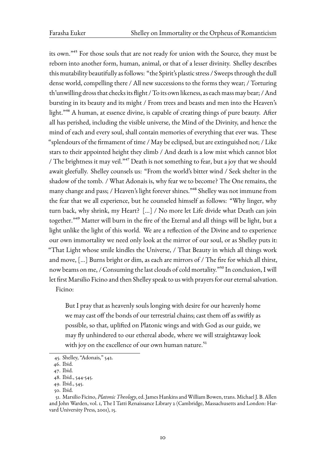its own."45 For those souls that are not ready for union with the Source, they must be reborn into another form, human, animal, or that of a lesser divinity. Shelley describes this mutability beautifully as follows: "the Spirit's plastic stress / Sweeps through the dull dense wo[rld](#page-9-0), compelling there / All new successions to the forms they wear; / Torturing th'unwilling dross that checks its flight / To its own likeness, as each mass may bear; / And bursting in its beauty and its might / From trees and beasts and men into the Heaven's light."46 A human, at essence divine, is capable of creating things of pure beauty. After all has perished, including the visible universe, the Mind of the Divinity, and hence the mind of each and every soul, shall contain memories of everything that ever was. These "splen[do](#page-9-1)urs of the firmament of time / May be eclipsed, but are extinguished not; / Like stars to their appointed height they climb / And death is a low mist which cannot blot / The brightness it may veil."<sup>47</sup> Death is not something to fear, but a joy that we should await gleefully. Shelley counsels us: "From the world's bitter wind / Seek shelter in the shadow of the tomb. / What Adonais is, why fear we to become? The One remains, the many change and pass; / Hea[ve](#page-9-2)n's light forever shines."48 Shelley was not immune from the fear that we all experience, but he counseled himself as follows: "Why linger, why turn back, why shrink, my Heart? […] / No more let Life divide what Death can join together."49 Matter will burn in the fire of the Eternal [an](#page-9-3)d all things will be light, but a light unlike the light of this world. We are a reflection of the Divine and to experience our own immortality we need only look at the mirror of our soul, or as Shelley puts it: "That Lig[ht](#page-9-4) whose smile kindles the Universe, / That Beauty in which all things work and move, […] Burns bright or dim, as each are mirrors of / The fire for which all thirst, now beams on me, / Consuming the last clouds of cold mortality."<sup>50</sup> In conclusion, I will let first Marsilio Ficino and then Shelley speak to us with prayers for our eternal salvation. Ficino:

But I pray that as heavenly souls longing with desire for our heavenly home we may cast off the bonds of our terrestrial chains; cast them off as swiftly as possible, so that, uplifted on Platonic wings and with God as our guide, we may fly unhindered to our ethereal abode, where we will straightaway look with joy on the excellence of our own human nature.<sup>51</sup>

<sup>45.</sup> Shelley, "Adonais," 542.

<sup>46.</sup> Ibid.

<sup>47.</sup> Ibid.

<sup>48.</sup> Ibid., 544-545.

<span id="page-9-0"></span><sup>49.</sup> Ibid., 5[45.](#page-8-1)

<span id="page-9-3"></span><span id="page-9-2"></span><span id="page-9-1"></span><sup>50.</sup> [Ibid.](#page-8-1)

<span id="page-9-4"></span><sup>51.</sup> [Mars](#page-8-1)ilio Ficino, *Platonic Theology*, ed. James Hankins andWilliam Bowen, trans. Michael J. B. Allen and J[ohn W](#page-8-1)arden, vol. 1, The I Tatti Renaissance Library 2 (Cambridge, Massachusetts and London: Harvard [Unive](#page-8-1)rsity Press, 2001), 15.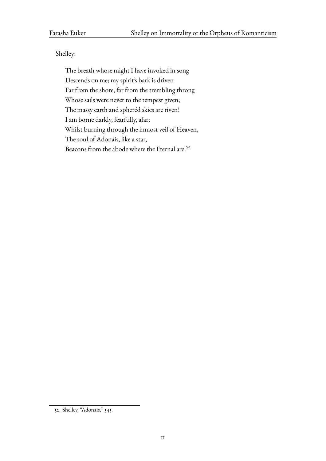## Shelley:

The breath whose might I have invoked in song Descends on me; my spirit's bark is driven Far from the shore, far from the trembling throng Whose sails were never to the tempest given; The massy earth and spheréd skies are riven! I am borne darkly, fearfully, afar; Whilst burning through the inmost veil of Heaven, The soul of Adonais, like a star, Beacons from the abode where the Eternal are.<sup>52</sup>

<sup>52.</sup> Shelley, "Adonais," 545.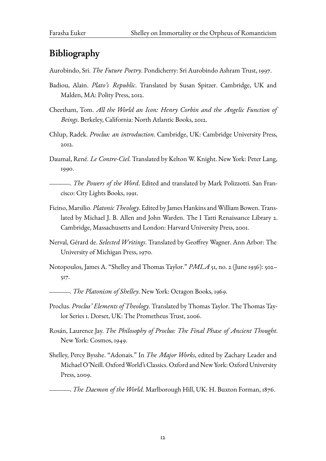## **Bibliography**

Aurobindo, Sri. *The Future Poetry*. Pondicherry: Sri Aurobindo Ashram Trust, 1997.

- Badiou, Alain. *Plato's Republic*. Translated by Susan Spitzer. Cambridge, UK and Malden, MA: Polity Press, 2012.
- Cheetham, Tom. *All the World an Icon: Henry Corbin and the Angelic Function of Beings*. Berkeley, California: North Atlantic Books, 2012.
- Chlup, Radek. *Proclus: an introduction*. Cambridge, UK: Cambridge University Press, 2012.
- Daumal, René. *Le Contre-Ciel*. Translated by Kelton W. Knight. New York: Peter Lang, 1990.

. *The Powers of the Word*. Edited and translated by Mark Polizzotti. San Francisco: City Lights Books, 1991.

- Ficino,Marsilio.*Platonic Theology*. Edited by James Hankins andWilliam Bowen. Translated by Michael J. B. Allen and John Warden. The I Tatti Renaissance Library 2. Cambridge, Massachusetts and London: Harvard University Press, 2001.
- Nerval, Gérard de. *Selected Writings*. Translated by Geoffrey Wagner. Ann Arbor: The University of Michigan Press, 1970.
- Notopoulos, James A. "Shelley and Thomas Taylor." *PMLA* 51, no. 2 (June 1936): 502– 517.
	- . *The Platonism of Shelley*. New York: Octagon Books, 1969.
- Proclus. *Proclus' Elements of Theology*. Translated by Thomas Taylor. The Thomas Taylor Series 1. Dorset, UK: The Prometheus Trust, 2006.
- Rosán, Laurence Jay. *The Philosophy of Proclus: The Final Phase of Ancient Thought*. New York: Cosmos, 1949.
- Shelley, Percy Bysshe. "Adonais." In *The Major Works*, edited by Zachary Leader and Michael O'Neill. OxfordWorld's Classics. Oxford and New York: Oxford University Press, 2009.

. *The Daemon of the World*. Marlborough Hill, UK: H. Buxton Forman, 1876.